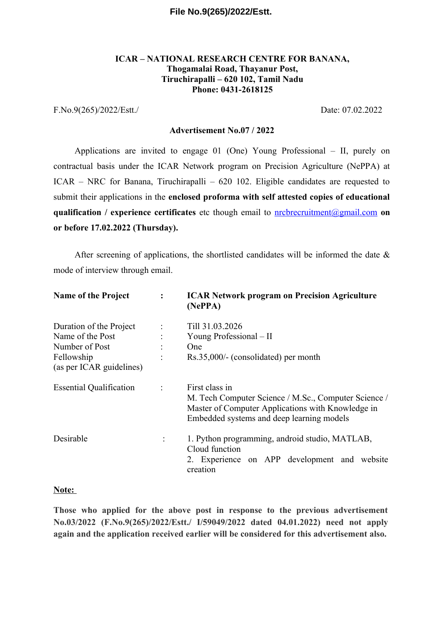### **ICAR – NATIONAL RESEARCH CENTRE FOR BANANA, Thogamalai Road, Thayanur Post, Tiruchirapalli – 620 102, Tamil Nadu Phone: 0431-2618125**

F.No.9(265)/2022/Estt./ Date: 07.02.2022

#### **Advertisement No.07 / 2022**

Applications are invited to engage 01 (One) Young Professional – II, purely on contractual basis under the ICAR Network program on Precision Agriculture (NePPA) at ICAR – NRC for Banana, Tiruchirapalli – 620 102. Eligible candidates are requested to submit their applications in the **enclosed proforma with self attested copies of educational qualification / experience certificates** etc though email to [nrcbrecruitment@gmail.com](mailto:nrcbrecruitment@gmail.com) **on or before 17.02.2022 (Thursday).**

After screening of applications, the shortlisted candidates will be informed the date  $\&$ mode of interview through email.

| <b>Name of the Project</b>             | $\ddot{\phantom{a}}$ | <b>ICAR Network program on Precision Agriculture</b><br>(NePPA)                                                                                                          |  |  |
|----------------------------------------|----------------------|--------------------------------------------------------------------------------------------------------------------------------------------------------------------------|--|--|
| Duration of the Project                |                      | Till 31.03.2026                                                                                                                                                          |  |  |
| Name of the Post                       |                      | Young Professional – II                                                                                                                                                  |  |  |
| Number of Post                         |                      | One                                                                                                                                                                      |  |  |
| Fellowship<br>(as per ICAR guidelines) |                      | Rs.35,000/- (consolidated) per month                                                                                                                                     |  |  |
| <b>Essential Qualification</b>         |                      | First class in<br>M. Tech Computer Science / M.Sc., Computer Science /<br>Master of Computer Applications with Knowledge in<br>Embedded systems and deep learning models |  |  |
| Desirable                              |                      | 1. Python programming, android studio, MATLAB,<br>Cloud function<br>2. Experience on APP development and website<br>creation                                             |  |  |

#### **Note:**

**Those who applied for the above post in response to the previous advertisement No.03/2022 (F.No.9(265)/2022/Estt./ I/59049/2022 dated 04.01.2022) need not apply again and the application received earlier will be considered for this advertisement also.**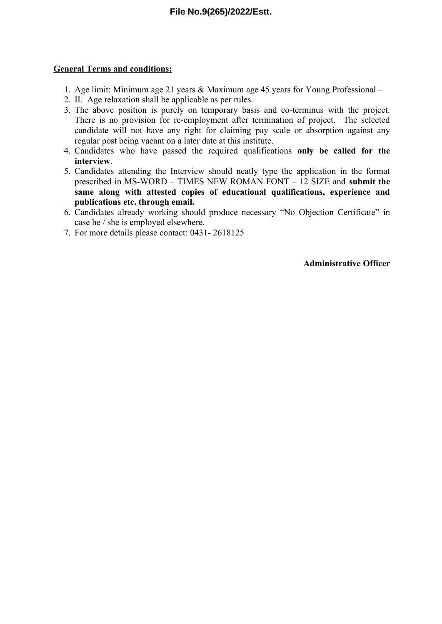### **General Terms and conditions:**

- 1. Age limit: Minimum age 21 years & Maximum age 45 years for Young Professional –
- 2. II. Age relaxation shall be applicable as per rules.
- 3. The above position is purely on temporary basis and co-terminus with the project. There is no provision for re-employment after termination of project. The selected candidate will not have any right for claiming pay scale or absorption against any regular post being vacant on a later date at this institute.
- 4. Candidates who have passed the required qualifications **only be called for the interview**.
- 5. Candidates attending the Interview should neatly type the application in the format prescribed in MS-WORD – TIMES NEW ROMAN FONT – 12 SIZE and **submit the same along with attested copies of educational qualifications, experience and publications etc. through email.**
- 6. Candidates already working should produce necessary "No Objection Certificate" in case he / she is employed elsewhere.
- 7. For more details please contact: 0431- 2618125

**Administrative Officer**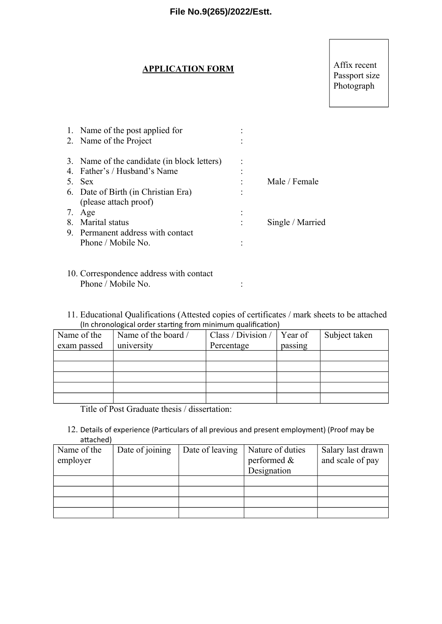#### **APPLICATION FORM**

# Affix recent Passport size Photograph

| 1. Name of the post applied for             |                  |
|---------------------------------------------|------------------|
| 2. Name of the Project                      |                  |
| 3. Name of the candidate (in block letters) |                  |
| 4. Father's / Husband's Name                |                  |
| 5. Sex                                      | Male / Female    |
| 6. Date of Birth (in Christian Era)         |                  |
| (please attach proof)                       |                  |
| 7. Age                                      |                  |
| 8. Marital status                           | Single / Married |
| 9. Permanent address with contact           |                  |
| Phone / Mobile No.                          |                  |
|                                             |                  |
|                                             |                  |

- 10. Correspondence address with contact Phone / Mobile No. :
- 11. Educational Qualifications (Attested copies of certificates / mark sheets to be attached (In chronological order starting from minimum qualification)

| Name of the | Name of the board / | Class / Division / | Year of | Subject taken |
|-------------|---------------------|--------------------|---------|---------------|
| exam passed | university          | Percentage         | passing |               |
|             |                     |                    |         |               |
|             |                     |                    |         |               |
|             |                     |                    |         |               |
|             |                     |                    |         |               |
|             |                     |                    |         |               |

Title of Post Graduate thesis / dissertation:

12. Details of experience (Particulars of all previous and present employment) (Proof may be attached)

| Name of the | Date of joining | Date of leaving | Nature of duties | Salary last drawn |
|-------------|-----------------|-----------------|------------------|-------------------|
| employer    |                 |                 | performed &      | and scale of pay  |
|             |                 |                 | Designation      |                   |
|             |                 |                 |                  |                   |
|             |                 |                 |                  |                   |
|             |                 |                 |                  |                   |
|             |                 |                 |                  |                   |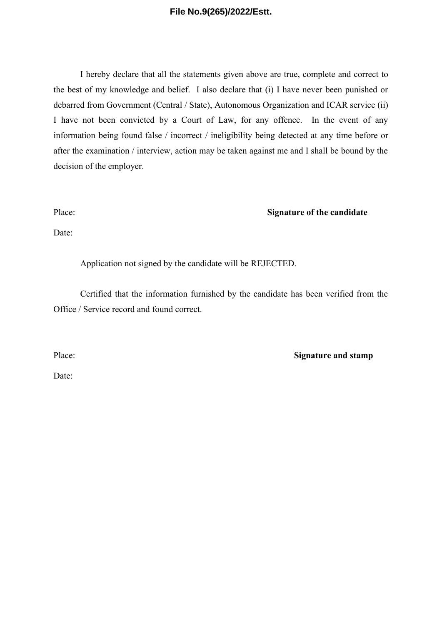I hereby declare that all the statements given above are true, complete and correct to the best of my knowledge and belief. I also declare that (i) I have never been punished or debarred from Government (Central / State), Autonomous Organization and ICAR service (ii) I have not been convicted by a Court of Law, for any offence. In the event of any information being found false / incorrect / ineligibility being detected at any time before or after the examination / interview, action may be taken against me and I shall be bound by the decision of the employer.

Place: **Signature of the candidate** 

Date:

Application not signed by the candidate will be REJECTED.

Certified that the information furnished by the candidate has been verified from the Office / Service record and found correct.

Place: **Signature and stamp** 

Date: